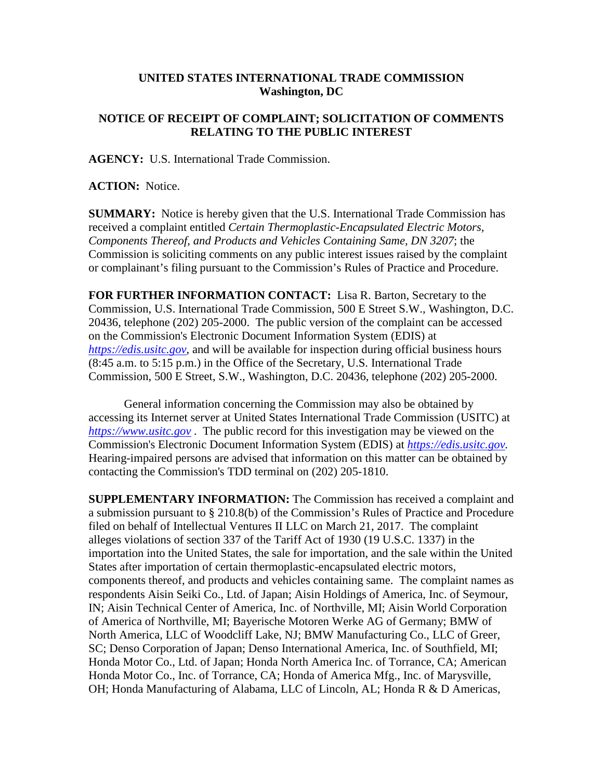## **UNITED STATES INTERNATIONAL TRADE COMMISSION Washington, DC**

## **NOTICE OF RECEIPT OF COMPLAINT; SOLICITATION OF COMMENTS RELATING TO THE PUBLIC INTEREST**

**AGENCY:** U.S. International Trade Commission.

**ACTION:** Notice.

**SUMMARY:** Notice is hereby given that the U.S. International Trade Commission has received a complaint entitled *Certain Thermoplastic-Encapsulated Electric Motors, Components Thereof, and Products and Vehicles Containing Same, DN 3207*; the Commission is soliciting comments on any public interest issues raised by the complaint or complainant's filing pursuant to the Commission's Rules of Practice and Procedure.

**FOR FURTHER INFORMATION CONTACT:** Lisa R. Barton, Secretary to the Commission, U.S. International Trade Commission, 500 E Street S.W., Washington, D.C. 20436, telephone (202) 205-2000. The public version of the complaint can be accessed on the Commission's Electronic Document Information System (EDIS) at *[https://edis.usitc.gov](https://edis.usitc.gov/)*, and will be available for inspection during official business hours (8:45 a.m. to 5:15 p.m.) in the Office of the Secretary, U.S. International Trade Commission, 500 E Street, S.W., Washington, D.C. 20436, telephone (202) 205-2000.

General information concerning the Commission may also be obtained by accessing its Internet server at United States International Trade Commission (USITC) at *[https://www.usitc.gov](https://www.usitc.gov/)* . The public record for this investigation may be viewed on the Commission's Electronic Document Information System (EDIS) at *[https://edis.usitc.gov.](https://edis.usitc.gov/)* Hearing-impaired persons are advised that information on this matter can be obtained by contacting the Commission's TDD terminal on (202) 205-1810.

**SUPPLEMENTARY INFORMATION:** The Commission has received a complaint and a submission pursuant to § 210.8(b) of the Commission's Rules of Practice and Procedure filed on behalf of Intellectual Ventures II LLC on March 21, 2017. The complaint alleges violations of section 337 of the Tariff Act of 1930 (19 U.S.C. 1337) in the importation into the United States, the sale for importation, and the sale within the United States after importation of certain thermoplastic-encapsulated electric motors, components thereof, and products and vehicles containing same. The complaint names as respondents Aisin Seiki Co., Ltd. of Japan; Aisin Holdings of America, Inc. of Seymour, IN; Aisin Technical Center of America, Inc. of Northville, MI; Aisin World Corporation of America of Northville, MI; Bayerische Motoren Werke AG of Germany; BMW of North America, LLC of Woodcliff Lake, NJ; BMW Manufacturing Co., LLC of Greer, SC; Denso Corporation of Japan; Denso International America, Inc. of Southfield, MI; Honda Motor Co., Ltd. of Japan; Honda North America Inc. of Torrance, CA; American Honda Motor Co., Inc. of Torrance, CA; Honda of America Mfg., Inc. of Marysville, OH; Honda Manufacturing of Alabama, LLC of Lincoln, AL; Honda R & D Americas,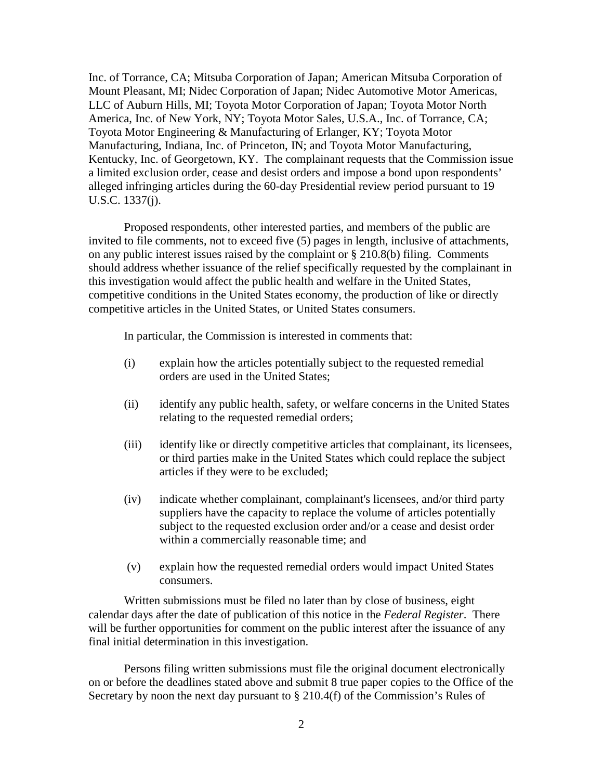Inc. of Torrance, CA; Mitsuba Corporation of Japan; American Mitsuba Corporation of Mount Pleasant, MI; Nidec Corporation of Japan; Nidec Automotive Motor Americas, LLC of Auburn Hills, MI; Toyota Motor Corporation of Japan; Toyota Motor North America, Inc. of New York, NY; Toyota Motor Sales, U.S.A., Inc. of Torrance, CA; Toyota Motor Engineering & Manufacturing of Erlanger, KY; Toyota Motor Manufacturing, Indiana, Inc. of Princeton, IN; and Toyota Motor Manufacturing, Kentucky, Inc. of Georgetown, KY. The complainant requests that the Commission issue a limited exclusion order, cease and desist orders and impose a bond upon respondents' alleged infringing articles during the 60-day Presidential review period pursuant to 19 U.S.C. 1337(j).

Proposed respondents, other interested parties, and members of the public are invited to file comments, not to exceed five (5) pages in length, inclusive of attachments, on any public interest issues raised by the complaint or § 210.8(b) filing. Comments should address whether issuance of the relief specifically requested by the complainant in this investigation would affect the public health and welfare in the United States, competitive conditions in the United States economy, the production of like or directly competitive articles in the United States, or United States consumers.

In particular, the Commission is interested in comments that:

- (i) explain how the articles potentially subject to the requested remedial orders are used in the United States;
- (ii) identify any public health, safety, or welfare concerns in the United States relating to the requested remedial orders;
- (iii) identify like or directly competitive articles that complainant, its licensees, or third parties make in the United States which could replace the subject articles if they were to be excluded;
- (iv) indicate whether complainant, complainant's licensees, and/or third party suppliers have the capacity to replace the volume of articles potentially subject to the requested exclusion order and/or a cease and desist order within a commercially reasonable time; and
- (v) explain how the requested remedial orders would impact United States consumers.

Written submissions must be filed no later than by close of business, eight calendar days after the date of publication of this notice in the *Federal Register*. There will be further opportunities for comment on the public interest after the issuance of any final initial determination in this investigation.

Persons filing written submissions must file the original document electronically on or before the deadlines stated above and submit 8 true paper copies to the Office of the Secretary by noon the next day pursuant to  $\S 210.4(f)$  of the Commission's Rules of